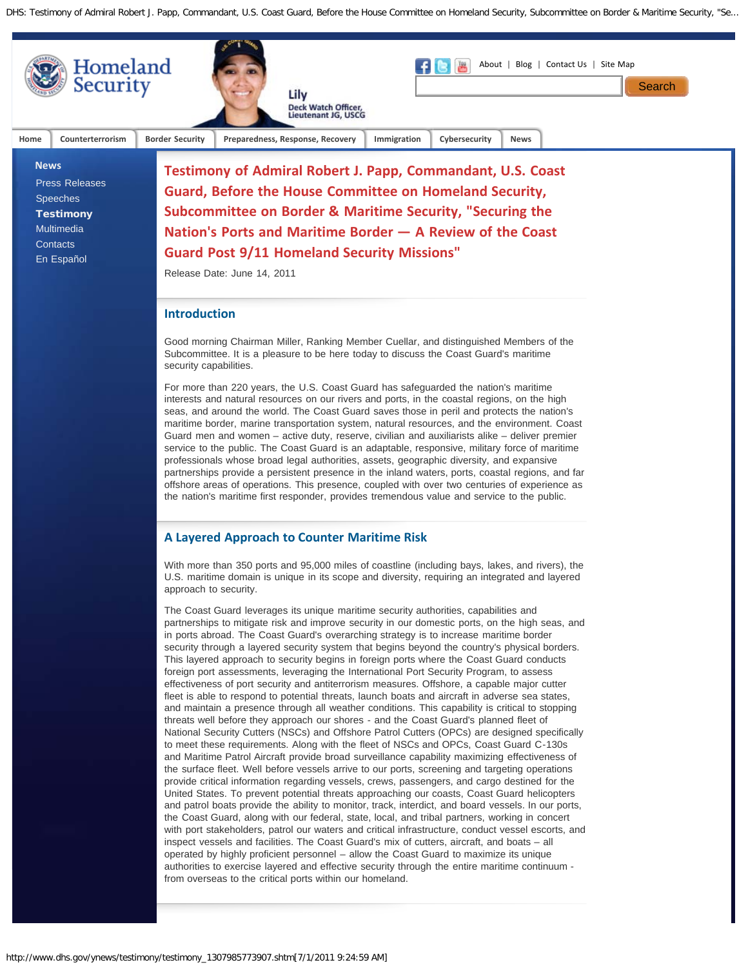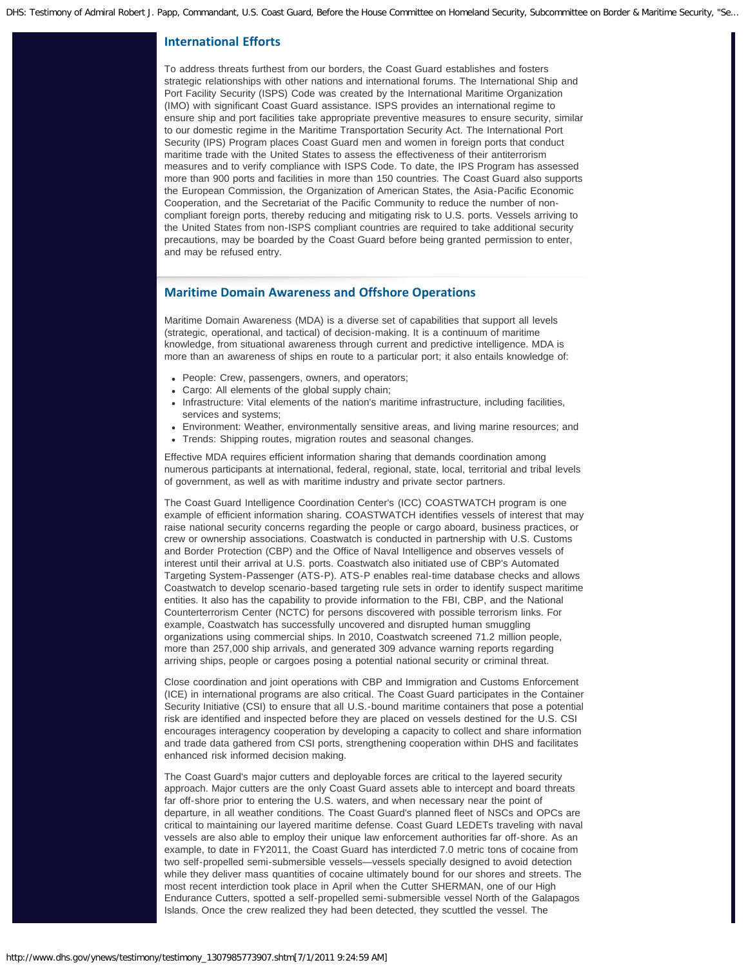## **International Efforts**

To address threats furthest from our borders, the Coast Guard establishes and fosters strategic relationships with other nations and international forums. The International Ship and Port Facility Security (ISPS) Code was created by the International Maritime Organization (IMO) with significant Coast Guard assistance. ISPS provides an international regime to ensure ship and port facilities take appropriate preventive measures to ensure security, similar to our domestic regime in the Maritime Transportation Security Act. The International Port Security (IPS) Program places Coast Guard men and women in foreign ports that conduct maritime trade with the United States to assess the effectiveness of their antiterrorism measures and to verify compliance with ISPS Code. To date, the IPS Program has assessed more than 900 ports and facilities in more than 150 countries. The Coast Guard also supports the European Commission, the Organization of American States, the Asia-Pacific Economic Cooperation, and the Secretariat of the Pacific Community to reduce the number of noncompliant foreign ports, thereby reducing and mitigating risk to U.S. ports. Vessels arriving to the United States from non-ISPS compliant countries are required to take additional security precautions, may be boarded by the Coast Guard before being granted permission to enter, and may be refused entry.

## **Maritime Domain Awareness and Offshore Operations**

Maritime Domain Awareness (MDA) is a diverse set of capabilities that support all levels (strategic, operational, and tactical) of decision-making. It is a continuum of maritime knowledge, from situational awareness through current and predictive intelligence. MDA is more than an awareness of ships en route to a particular port; it also entails knowledge of:

- People: Crew, passengers, owners, and operators;
- Cargo: All elements of the global supply chain;
- Infrastructure: Vital elements of the nation's maritime infrastructure, including facilities, services and systems;
- Environment: Weather, environmentally sensitive areas, and living marine resources; and
- Trends: Shipping routes, migration routes and seasonal changes.

Effective MDA requires efficient information sharing that demands coordination among numerous participants at international, federal, regional, state, local, territorial and tribal levels of government, as well as with maritime industry and private sector partners.

The Coast Guard Intelligence Coordination Center's (ICC) COASTWATCH program is one example of efficient information sharing. COASTWATCH identifies vessels of interest that may raise national security concerns regarding the people or cargo aboard, business practices, or crew or ownership associations. Coastwatch is conducted in partnership with U.S. Customs and Border Protection (CBP) and the Office of Naval Intelligence and observes vessels of interest until their arrival at U.S. ports. Coastwatch also initiated use of CBP's Automated Targeting System-Passenger (ATS-P). ATS-P enables real-time database checks and allows Coastwatch to develop scenario-based targeting rule sets in order to identify suspect maritime entities. It also has the capability to provide information to the FBI, CBP, and the National Counterterrorism Center (NCTC) for persons discovered with possible terrorism links. For example, Coastwatch has successfully uncovered and disrupted human smuggling organizations using commercial ships. In 2010, Coastwatch screened 71.2 million people, more than 257,000 ship arrivals, and generated 309 advance warning reports regarding arriving ships, people or cargoes posing a potential national security or criminal threat.

Close coordination and joint operations with CBP and Immigration and Customs Enforcement (ICE) in international programs are also critical. The Coast Guard participates in the Container Security Initiative (CSI) to ensure that all U.S.-bound maritime containers that pose a potential risk are identified and inspected before they are placed on vessels destined for the U.S. CSI encourages interagency cooperation by developing a capacity to collect and share information and trade data gathered from CSI ports, strengthening cooperation within DHS and facilitates enhanced risk informed decision making.

The Coast Guard's major cutters and deployable forces are critical to the layered security approach. Major cutters are the only Coast Guard assets able to intercept and board threats far off-shore prior to entering the U.S. waters, and when necessary near the point of departure, in all weather conditions. The Coast Guard's planned fleet of NSCs and OPCs are critical to maintaining our layered maritime defense. Coast Guard LEDETs traveling with naval vessels are also able to employ their unique law enforcement authorities far off-shore. As an example, to date in FY2011, the Coast Guard has interdicted 7.0 metric tons of cocaine from two self-propelled semi-submersible vessels—vessels specially designed to avoid detection while they deliver mass quantities of cocaine ultimately bound for our shores and streets. The most recent interdiction took place in April when the Cutter SHERMAN, one of our High Endurance Cutters, spotted a self-propelled semi-submersible vessel North of the Galapagos Islands. Once the crew realized they had been detected, they scuttled the vessel. The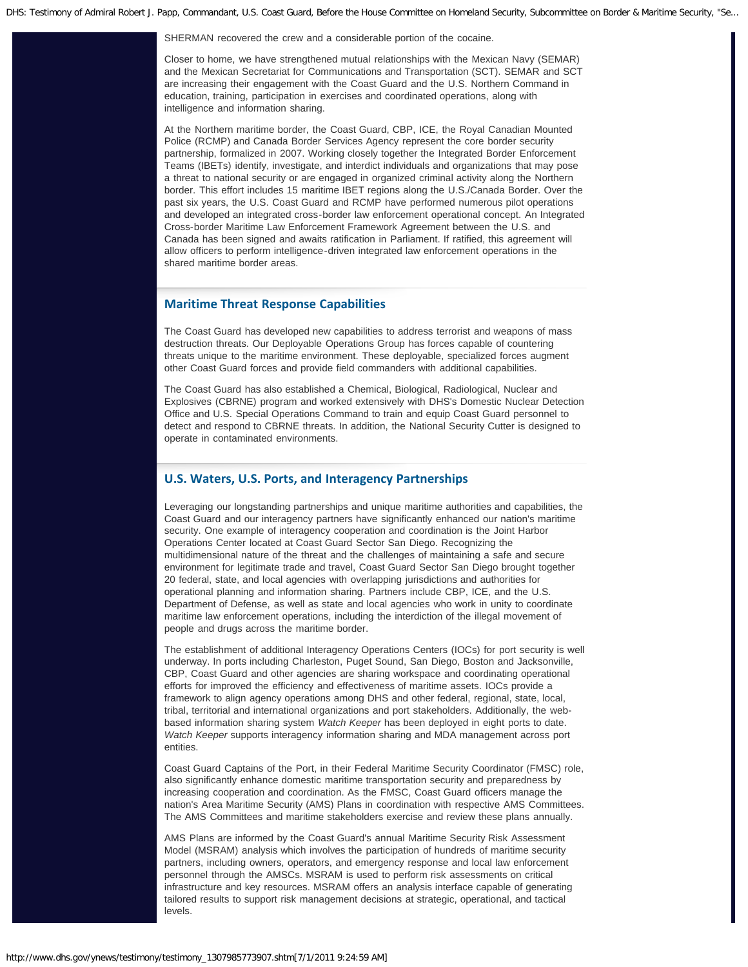SHERMAN recovered the crew and a considerable portion of the cocaine.

Closer to home, we have strengthened mutual relationships with the Mexican Navy (SEMAR) and the Mexican Secretariat for Communications and Transportation (SCT). SEMAR and SCT are increasing their engagement with the Coast Guard and the U.S. Northern Command in education, training, participation in exercises and coordinated operations, along with intelligence and information sharing.

At the Northern maritime border, the Coast Guard, CBP, ICE, the Royal Canadian Mounted Police (RCMP) and Canada Border Services Agency represent the core border security partnership, formalized in 2007. Working closely together the Integrated Border Enforcement Teams (IBETs) identify, investigate, and interdict individuals and organizations that may pose a threat to national security or are engaged in organized criminal activity along the Northern border. This effort includes 15 maritime IBET regions along the U.S./Canada Border. Over the past six years, the U.S. Coast Guard and RCMP have performed numerous pilot operations and developed an integrated cross-border law enforcement operational concept. An Integrated Cross-border Maritime Law Enforcement Framework Agreement between the U.S. and Canada has been signed and awaits ratification in Parliament. If ratified, this agreement will allow officers to perform intelligence-driven integrated law enforcement operations in the shared maritime border areas.

## **Maritime Threat Response Capabilities**

The Coast Guard has developed new capabilities to address terrorist and weapons of mass destruction threats. Our Deployable Operations Group has forces capable of countering threats unique to the maritime environment. These deployable, specialized forces augment other Coast Guard forces and provide field commanders with additional capabilities.

The Coast Guard has also established a Chemical, Biological, Radiological, Nuclear and Explosives (CBRNE) program and worked extensively with DHS's Domestic Nuclear Detection Office and U.S. Special Operations Command to train and equip Coast Guard personnel to detect and respond to CBRNE threats. In addition, the National Security Cutter is designed to operate in contaminated environments.

## **U.S. Waters, U.S. Ports, and Interagency Partnerships**

Leveraging our longstanding partnerships and unique maritime authorities and capabilities, the Coast Guard and our interagency partners have significantly enhanced our nation's maritime security. One example of interagency cooperation and coordination is the Joint Harbor Operations Center located at Coast Guard Sector San Diego. Recognizing the multidimensional nature of the threat and the challenges of maintaining a safe and secure environment for legitimate trade and travel, Coast Guard Sector San Diego brought together 20 federal, state, and local agencies with overlapping jurisdictions and authorities for operational planning and information sharing. Partners include CBP, ICE, and the U.S. Department of Defense, as well as state and local agencies who work in unity to coordinate maritime law enforcement operations, including the interdiction of the illegal movement of people and drugs across the maritime border.

The establishment of additional Interagency Operations Centers (IOCs) for port security is well underway. In ports including Charleston, Puget Sound, San Diego, Boston and Jacksonville, CBP, Coast Guard and other agencies are sharing workspace and coordinating operational efforts for improved the efficiency and effectiveness of maritime assets. IOCs provide a framework to align agency operations among DHS and other federal, regional, state, local, tribal, territorial and international organizations and port stakeholders. Additionally, the webbased information sharing system *Watch Keeper* has been deployed in eight ports to date. *Watch Keeper* supports interagency information sharing and MDA management across port entities.

Coast Guard Captains of the Port, in their Federal Maritime Security Coordinator (FMSC) role, also significantly enhance domestic maritime transportation security and preparedness by increasing cooperation and coordination. As the FMSC, Coast Guard officers manage the nation's Area Maritime Security (AMS) Plans in coordination with respective AMS Committees. The AMS Committees and maritime stakeholders exercise and review these plans annually.

AMS Plans are informed by the Coast Guard's annual Maritime Security Risk Assessment Model (MSRAM) analysis which involves the participation of hundreds of maritime security partners, including owners, operators, and emergency response and local law enforcement personnel through the AMSCs. MSRAM is used to perform risk assessments on critical infrastructure and key resources. MSRAM offers an analysis interface capable of generating tailored results to support risk management decisions at strategic, operational, and tactical levels.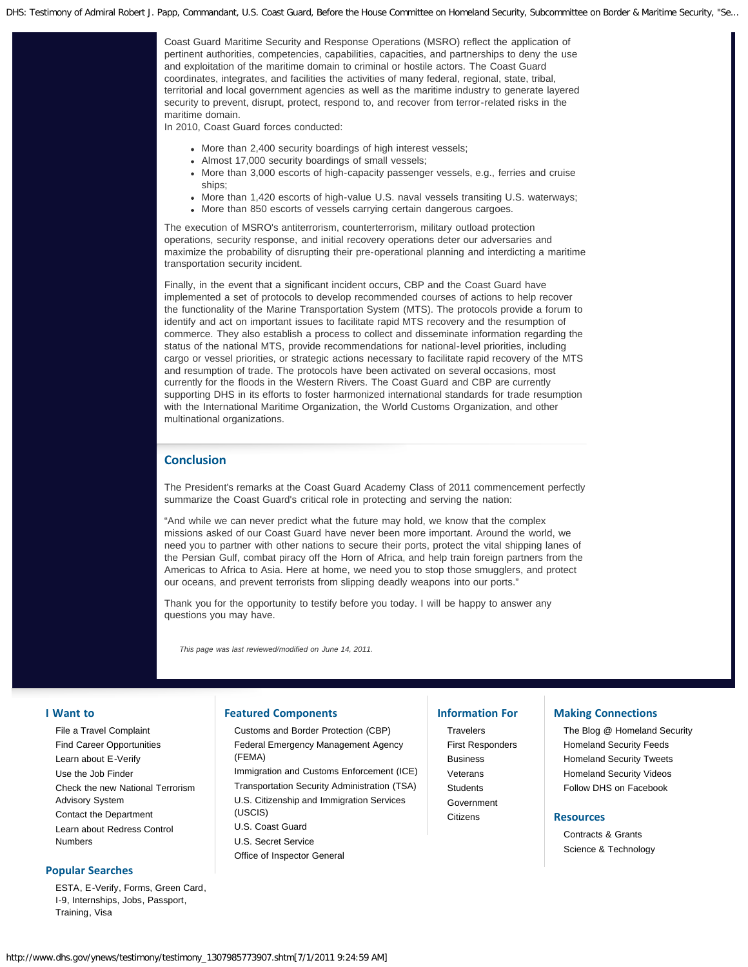Coast Guard Maritime Security and Response Operations (MSRO) reflect the application of pertinent authorities, competencies, capabilities, capacities, and partnerships to deny the use and exploitation of the maritime domain to criminal or hostile actors. The Coast Guard coordinates, integrates, and facilities the activities of many federal, regional, state, tribal, territorial and local government agencies as well as the maritime industry to generate layered security to prevent, disrupt, protect, respond to, and recover from terror-related risks in the maritime domain.

In 2010, Coast Guard forces conducted:

- More than 2,400 security boardings of high interest vessels;
- Almost 17,000 security boardings of small vessels;
- More than 3,000 escorts of high-capacity passenger vessels, e.g., ferries and cruise ships;
- More than 1,420 escorts of high-value U.S. naval vessels transiting U.S. waterways;
- More than 850 escorts of vessels carrying certain dangerous cargoes.

The execution of MSRO's antiterrorism, counterterrorism, military outload protection operations, security response, and initial recovery operations deter our adversaries and maximize the probability of disrupting their pre-operational planning and interdicting a maritime transportation security incident.

Finally, in the event that a significant incident occurs, CBP and the Coast Guard have implemented a set of protocols to develop recommended courses of actions to help recover the functionality of the Marine Transportation System (MTS). The protocols provide a forum to identify and act on important issues to facilitate rapid MTS recovery and the resumption of commerce. They also establish a process to collect and disseminate information regarding the status of the national MTS, provide recommendations for national-level priorities, including cargo or vessel priorities, or strategic actions necessary to facilitate rapid recovery of the MTS and resumption of trade. The protocols have been activated on several occasions, most currently for the floods in the Western Rivers. The Coast Guard and CBP are currently supporting DHS in its efforts to foster harmonized international standards for trade resumption with the International Maritime Organization, the World Customs Organization, and other multinational organizations.

## **Conclusion**

The President's remarks at the Coast Guard Academy Class of 2011 commencement perfectly summarize the Coast Guard's critical role in protecting and serving the nation:

"And while we can never predict what the future may hold, we know that the complex missions asked of our Coast Guard have never been more important. Around the world, we need you to partner with other nations to secure their ports, protect the vital shipping lanes of the Persian Gulf, combat piracy off the Horn of Africa, and help train foreign partners from the Americas to Africa to Asia. Here at home, we need you to stop those smugglers, and protect our oceans, and prevent terrorists from slipping deadly weapons into our ports."

Thank you for the opportunity to testify before you today. I will be happy to answer any questions you may have.

*This page was last reviewed/modified on June 14, 2011.*

#### **I Want to**

[File a Travel Complaint](http://www.dhs.gov/files/programs/gc_1169673653081.shtm) [Find Career Opportunities](http://www.dhs.gov/xabout/careers/content_multi_image_0014.shtm) [Learn about E-Verify](http://www.dhs.gov/files/programs/gc_1185221678150.shtm) [Use the Job Finder](http://www.dhs.gov/xabout/careers/jobfinder.shtm) [Check the new National Terrorism](http://www.dhs.gov/files/programs/ntas.shtm) [Advisory System](http://www.dhs.gov/files/programs/ntas.shtm) [Contact the Department](http://www.dhs.gov/xutil/contactus.shtm) [Learn about Redress Control](http://www.dhs.gov/files/programs/gc_1257360592800.shtm) [Numbers](http://www.dhs.gov/files/programs/gc_1257360592800.shtm)

### **Popular Searches**

[ESTA,](https://esta.cbp.dhs.gov/) [E-Verify](http://www.uscis.gov/portal/site/uscis/menuitem.eb1d4c2a3e5b9ac89243c6a7543f6d1a/?vgnextoid=75bce2e261405110VgnVCM1000004718190aRCRD&vgnextchannel=75bce2e261405110VgnVCM1000004718190aRCRD), [Forms,](http://www.dhs.gov/xabout/gc_1186413412271.shtm) [Green Card,](http://www.uscis.gov/greencard) [I-9,](http://www.uscis.gov/portal/site/uscis/menuitem.5af9bb95919f35e66f614176543f6d1a/?vgnextoid=31b3ab0a43b5d010VgnVCM10000048f3d6a1RCRD&vgnextchannel=db029c7755cb9010VgnVCM10000045f3d6a1RCRD) [Internships,](http://www.dhs.gov/xabout/careers/gc_1286805780388.shtm) [Jobs](http://www.dhs.gov/xabout/careers/), [Passport,](http://travel.state.gov/) [Training,](http://www.dhs.gov/files/training/prepresprecovery.shtm) [Visa](http://www.dhs.gov/files/programs/gc_1225904769484.shtm)

#### **Featured Components**

[Customs and Border Protection \(CBP\)](http://cbp.gov/) [Federal Emergency Management Agency](http://www.fema.gov/) [\(FEMA\)](http://www.fema.gov/) [Immigration and Customs Enforcement \(ICE\)](http://www.ice.gov/) [Transportation Security Administration \(TSA\)](http://www.tsa.gov/) [U.S. Citizenship and Immigration Services](http://www.uscis.gov/) [\(USCIS\)](http://www.uscis.gov/) [U.S. Coast Guard](http://uscg.mil/) [U.S. Secret Service](http://www.secretservice.gov/) [Office of Inspector General](http://www.dhs.gov/xoig/index.shtm)

## **Information For**

**[Travelers](http://www.dhs.gov/files/travelers.shtm)** [First Responders](http://www.dhs.gov/xfrstresp/) [Business](http://www.dhs.gov/xbsnss/) [Veterans](http://www.dhs.gov/xcitizens/veterans.shtm) **[Students](http://www.dhs.gov/xstudents/)** [Government](http://www.dhs.gov/xgovt/) [Citizens](http://www.dhs.gov/xcitizens/)

# **Making Connections**

[The Blog @ Homeland Security](http://blog.dhs.gov/) [Homeland Security Feeds](http://www.dhs.gov/xutil/feeds.shtm) [Homeland Security Tweets](http://www.twitter.com/dhsjournal/) [Homeland Security Videos](http://youtube.com/ushomelandsecurity) [Follow DHS on Facebook](http://www.facebook.com/#!/homelandsecurity)

#### **Resources**

[Contracts & Grants](http://www.dhs.gov/xopnbiz/) [Science & Technology](http://www.dhs.gov/files/scitech.shtm)